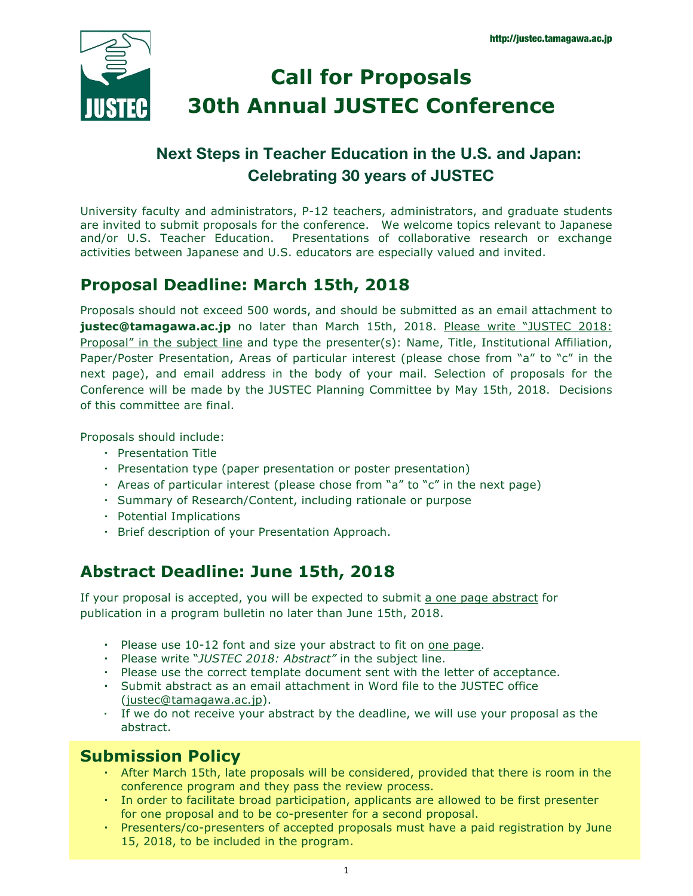

# **Call for Proposals 30th Annual JUSTEC Conference**

# **Next Steps in Teacher Education in the U.S. and Japan: Celebrating 30 years of JUSTEC**

University faculty and administrators, P-12 teachers, administrators, and graduate students are invited to submit proposals for the conference. We welcome topics relevant to Japanese and/or U.S. Teacher Education. Presentations of collaborative research or exchange activities between Japanese and U.S. educators are especially valued and invited.

## **Proposal Deadline: March 15th, 2018**

Proposals should not exceed 500 words, and should be submitted as an email attachment to **justec@tamagawa.ac.jp** no later than March 15th, 2018. Please write "JUSTEC 2018: Proposal" in the subject line and type the presenter(s): Name, Title, Institutional Affiliation, Paper/Poster Presentation, Areas of particular interest (please chose from "a" to "c" in the next page), and email address in the body of your mail. Selection of proposals for the Conference will be made by the JUSTEC Planning Committee by May 15th, 2018. Decisions of this committee are final.

Proposals should include:

- ・ Presentation Title
- ・ Presentation type (paper presentation or poster presentation)
- ・ Areas of particular interest (please chose from "a" to "c" in the next page)
- ・ Summary of Research/Content, including rationale or purpose
- ・ Potential Implications
- ・ Brief description of your Presentation Approach.

## **Abstract Deadline: June 15th, 2018**

If your proposal is accepted, you will be expected to submit a one page abstract for publication in a program bulletin no later than June 15th, 2018.

- ・ Please use 10-12 font and size your abstract to fit on one page.
- ・ Please write "*JUSTEC 2018: Abstract"* in the subject line.
- ・ Please use the correct template document sent with the letter of acceptance.
- ・ Submit abstract as an email attachment in Word file to the JUSTEC office (justec@tamagawa.ac.jp).
- ・ If we do not receive your abstract by the deadline, we will use your proposal as the abstract.

### **Submission Policy**

- ・ After March 15th, late proposals will be considered, provided that there is room in the conference program and they pass the review process.
- ・ In order to facilitate broad participation, applicants are allowed to be first presenter for one proposal and to be co-presenter for a second proposal.
- Presenters/co-presenters of accepted proposals must have a paid registration by June 15, 2018, to be included in the program.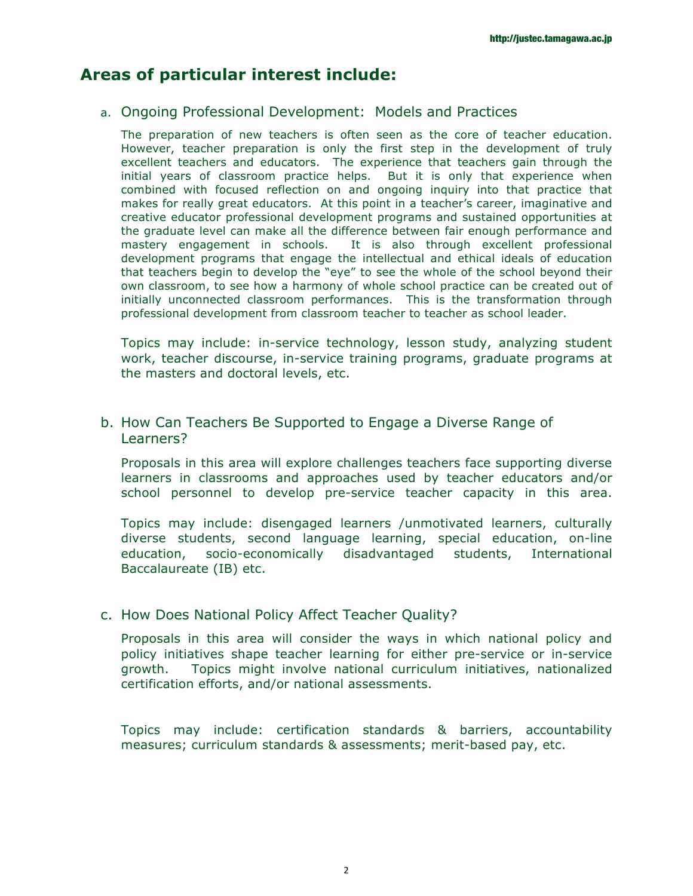### **Areas of particular interest include:**

#### a. Ongoing Professional Development: Models and Practices

The preparation of new teachers is often seen as the core of teacher education. However, teacher preparation is only the first step in the development of truly excellent teachers and educators. The experience that teachers gain through the initial years of classroom practice helps. But it is only that experience when combined with focused reflection on and ongoing inquiry into that practice that makes for really great educators. At this point in a teacher's career, imaginative and creative educator professional development programs and sustained opportunities at the graduate level can make all the difference between fair enough performance and mastery engagement in schools. It is also through excellent professional development programs that engage the intellectual and ethical ideals of education that teachers begin to develop the "eye" to see the whole of the school beyond their own classroom, to see how a harmony of whole school practice can be created out of initially unconnected classroom performances. This is the transformation through professional development from classroom teacher to teacher as school leader.

Topics may include: in-service technology, lesson study, analyzing student work, teacher discourse, in-service training programs, graduate programs at the masters and doctoral levels, etc.

#### b. How Can Teachers Be Supported to Engage a Diverse Range of Learners?

Proposals in this area will explore challenges teachers face supporting diverse learners in classrooms and approaches used by teacher educators and/or school personnel to develop pre-service teacher capacity in this area.

Topics may include: disengaged learners /unmotivated learners, culturally diverse students, second language learning, special education, on-line education, socio-economically disadvantaged students, International Baccalaureate (IB) etc.

#### c. How Does National Policy Affect Teacher Quality?

Proposals in this area will consider the ways in which national policy and policy initiatives shape teacher learning for either pre-service or in-service growth. Topics might involve national curriculum initiatives, nationalized certification efforts, and/or national assessments.

Topics may include: certification standards & barriers, accountability measures; curriculum standards & assessments; merit-based pay, etc.